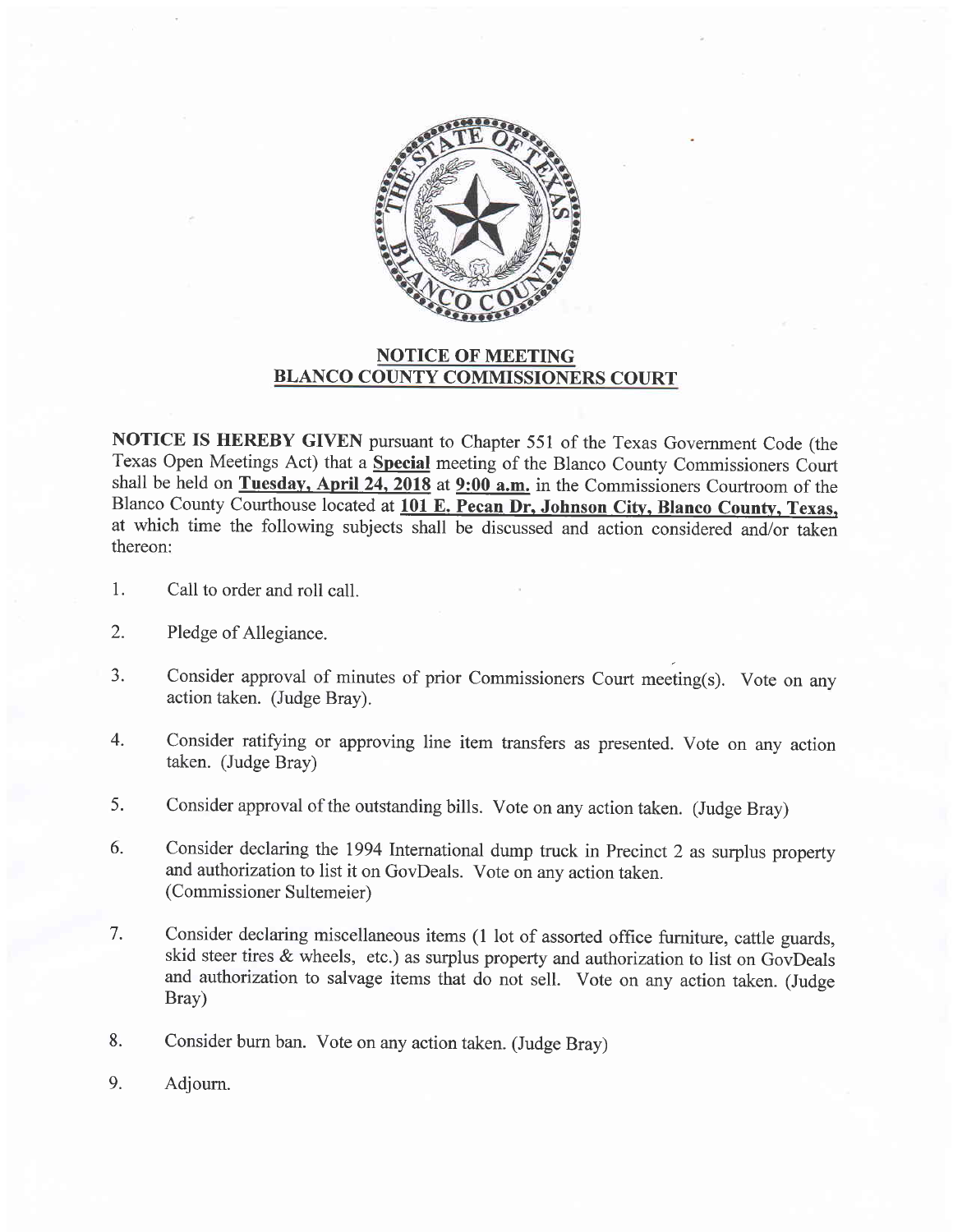

## NOTICE OF MEETING BLANCO COUNTY COMMISSIONERS COURT

NOTICE IS HEREBY GIVEN pursuant to Chapter 551 of the Texas Government Code (the Texas Open Meetings Act) that a Special meeting of the Blanco County Commissioners Court shall be held on Tuesday, April 24, 2018 at 9:00 a.m. in the Commissioners Courtroom of the Blanco County Courthouse located at 101 E. Pecan Dr. Johnson City, Blanco County, Texas. at which time the following subjects shall be discussed and action considered and/or taken thereon:

- 1. Call to order and roll call.
- Pledge of Allegiance. 2.
- Consider approval of minutes of prior Commissioners Court meeting(s). Vote on any action taken. (Judge Bray). J.
- Consider ratifying or approving line item transfers as presented. Vote on any action taken. (Judge Bray) 4.
- Consider approval of the outstanding bills. Vote on any action taken. (Judge Bray) 5.
- Consider declaring the 1994 International dump truck in Precinct 2 as surplus property and authorization to list it on GovDeals. Vote on any action taken. (Commissioner Sultemeier) 6.
- Consider declaring miscellaneous items (1 lot of assorted office furniture, cattle guards, skid steer tires  $\&$  wheels, etc.) as surplus property and authorization to list on GovDeals and authorization to salvage items that do not sell. Vote on any action taken. (Judge Bray) 7.
- Consider burn ban. Vote on any action taken. (Judge Bray) 8.
- Adjourn. 9.